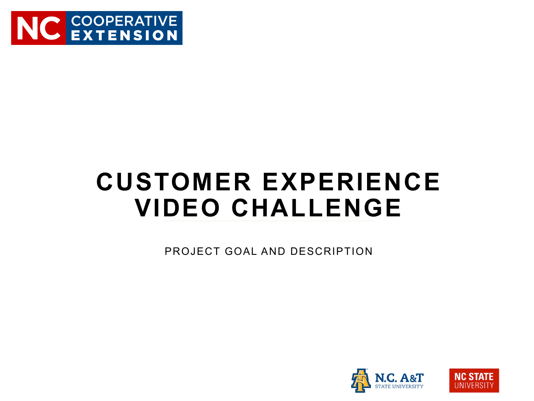

## **CUSTOMER EXPERIENCE VIDEO CHALLENGE**

PROJECT GOAL AND DESCRIPTION



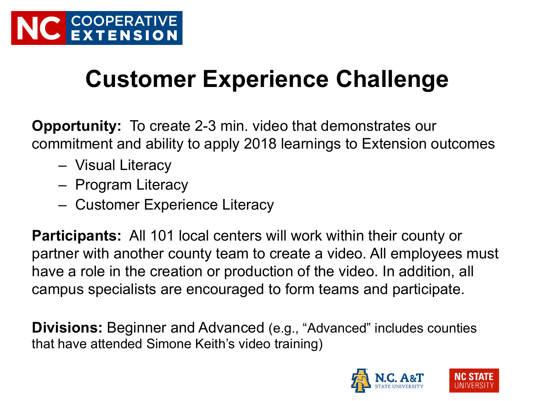## **Customer Experience Challenge**

**Opportunity:** To create 2-3 min. video that demonstrates our commitment and ability to apply 2018 learnings to Extension outcomes

- Visual Literacy
- Program Literacy
- Customer Experience Literacy

**Participants:** All 101 local centers will work within their county or partner with another county team to create a video. All employees must have a role in the creation or production of the video. In addition, all campus specialists are encouraged to form teams and participate.

**Divisions:** Beginner and Advanced (e.g., "Advanced" includes counties that have attended Simone Keith's video training)



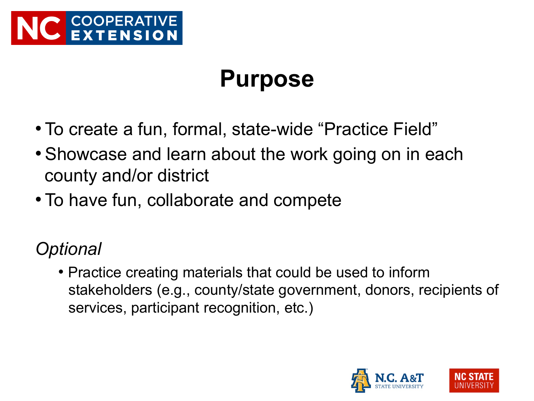

### **Purpose**

- To create a fun, formal, state-wide "Practice Field"
- Showcase and learn about the work going on in each county and/or district
- To have fun, collaborate and compete

*Optional* 

• Practice creating materials that could be used to inform stakeholders (e.g., county/state government, donors, recipients of services, participant recognition, etc.)



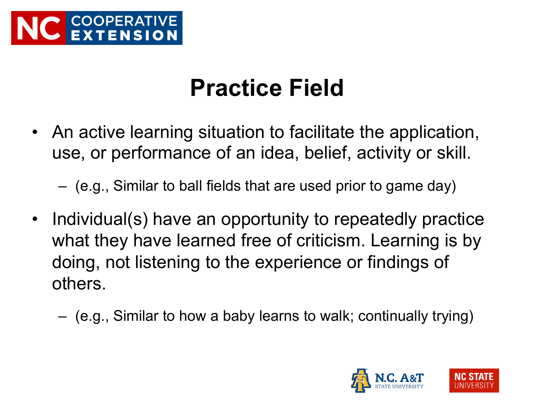

### **Practice Field**

• An active learning situation to facilitate the application, use, or performance of an idea, belief, activity or skill.

– (e.g., Similar to ball fields that are used prior to game day)

- Individual(s) have an opportunity to repeatedly practice what they have learned free of criticism. Learning is by doing, not listening to the experience or findings of others.
	- (e.g., Similar to how a baby learns to walk; continually trying)



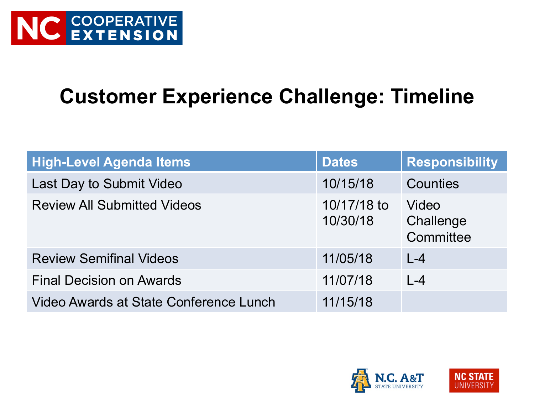#### **Customer Experience Challenge: Timeline**

| <b>High-Level Agenda Items</b>         | <b>Dates</b>            | <b>Responsibility</b>           |
|----------------------------------------|-------------------------|---------------------------------|
| Last Day to Submit Video               | 10/15/18                | Counties                        |
| <b>Review All Submitted Videos</b>     | 10/17/18 to<br>10/30/18 | Video<br>Challenge<br>Committee |
| <b>Review Semifinal Videos</b>         | 11/05/18                | $L - 4$                         |
| <b>Final Decision on Awards</b>        | 11/07/18                | $L - 4$                         |
| Video Awards at State Conference Lunch | 11/15/18                |                                 |



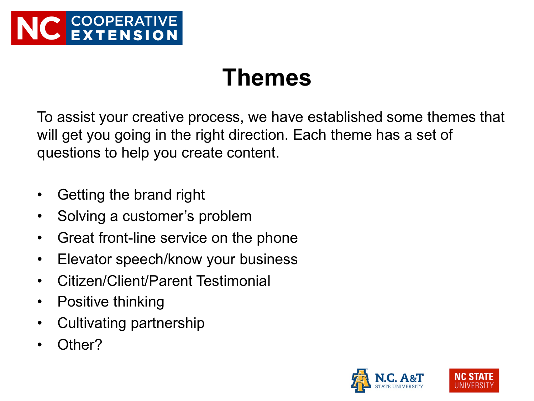

#### **Themes**

To assist your creative process, we have established some themes that will get you going in the right direction. Each theme has a set of questions to help you create content.

- Getting the brand right
- Solving a customer's problem
- Great front-line service on the phone
- Elevator speech/know your business
- Citizen/Client/Parent Testimonial
- Positive thinking
- Cultivating partnership
- Other?



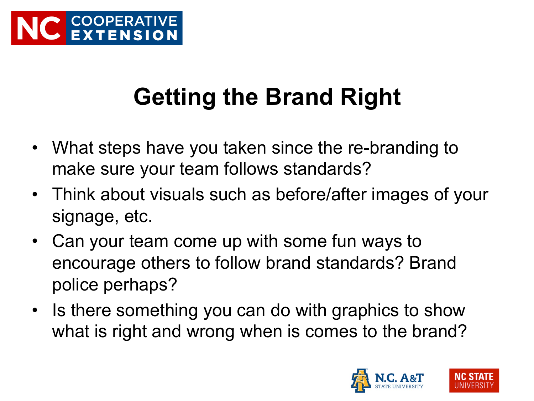# **Getting the Brand Right**

- What steps have you taken since the re-branding to make sure your team follows standards?
- Think about visuals such as before/after images of your signage, etc.
- Can your team come up with some fun ways to encourage others to follow brand standards? Brand police perhaps?
- Is there something you can do with graphics to show what is right and wrong when is comes to the brand?



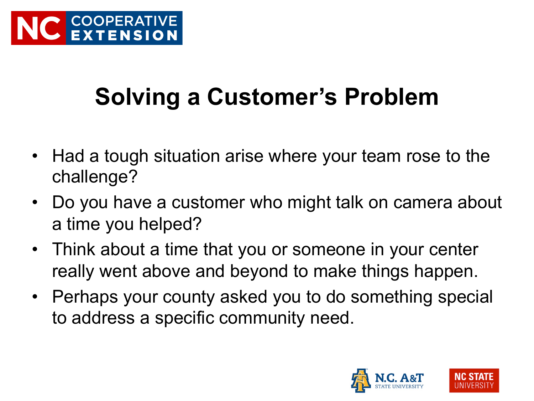# **Solving a Customer's Problem**

- Had a tough situation arise where your team rose to the challenge?
- Do you have a customer who might talk on camera about a time you helped?
- Think about a time that you or someone in your center really went above and beyond to make things happen.
- Perhaps your county asked you to do something special to address a specific community need.



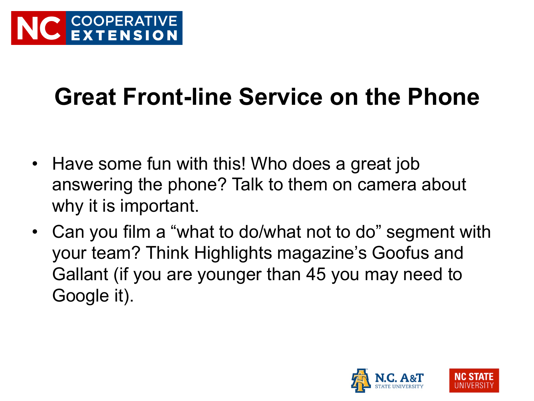## **Great Front-line Service on the Phone**

- Have some fun with this! Who does a great job answering the phone? Talk to them on camera about why it is important.
- Can you film a "what to do/what not to do" segment with your team? Think Highlights magazine's Goofus and Gallant (if you are younger than 45 you may need to Google it).



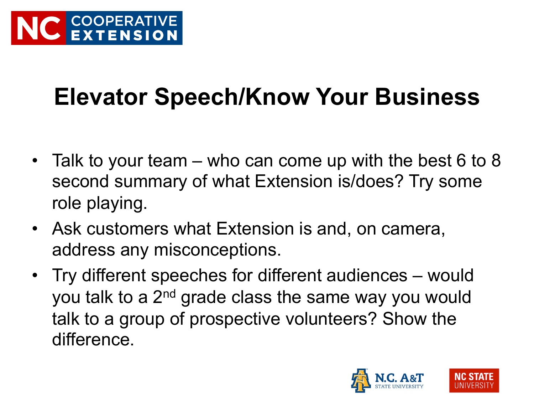## **Elevator Speech/Know Your Business**

- Talk to your team who can come up with the best 6 to 8 second summary of what Extension is/does? Try some role playing.
- Ask customers what Extension is and, on camera, address any misconceptions.
- Try different speeches for different audiences would you talk to a 2<sup>nd</sup> grade class the same way you would talk to a group of prospective volunteers? Show the difference.



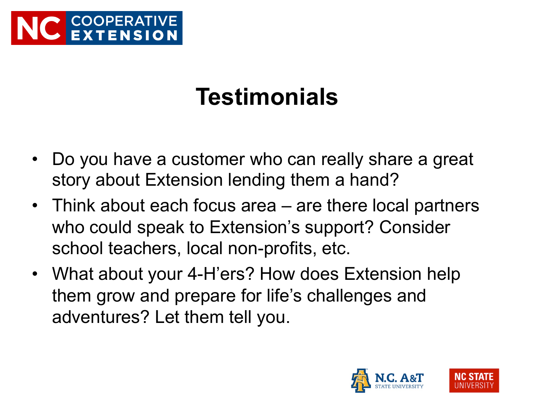

## **Testimonials**

- Do you have a customer who can really share a great story about Extension lending them a hand?
- Think about each focus area are there local partners who could speak to Extension's support? Consider school teachers, local non-profits, etc.
- What about your 4-H'ers? How does Extension help them grow and prepare for life's challenges and adventures? Let them tell you.



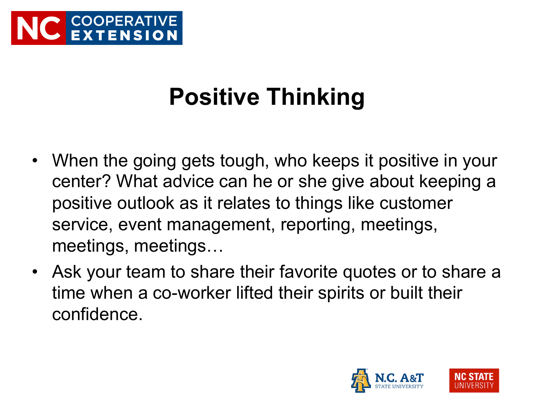

# **Positive Thinking**

- When the going gets tough, who keeps it positive in your center? What advice can he or she give about keeping a positive outlook as it relates to things like customer service, event management, reporting, meetings, meetings, meetings…
- Ask your team to share their favorite quotes or to share a time when a co-worker lifted their spirits or built their confidence.



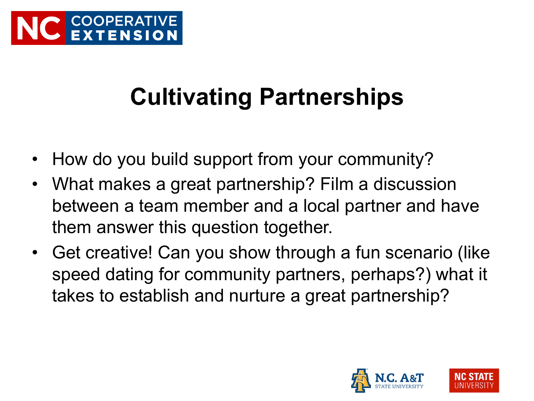# **Cultivating Partnerships**

- How do you build support from your community?
- What makes a great partnership? Film a discussion between a team member and a local partner and have them answer this question together.
- Get creative! Can you show through a fun scenario (like speed dating for community partners, perhaps?) what it takes to establish and nurture a great partnership?



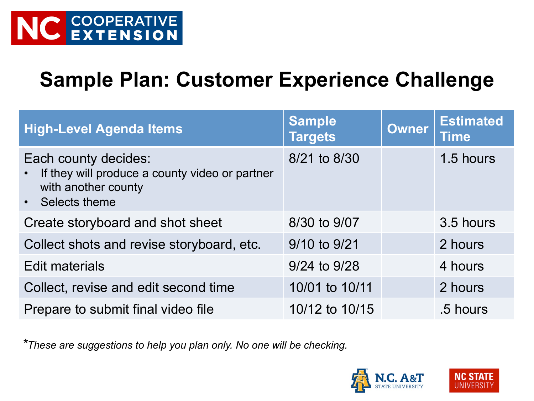#### **Sample Plan: Customer Experience Challenge**

| <b>High-Level Agenda Items</b>                                                                                   | <b>Sample</b><br><b>Targets</b> | <b>Owner</b> | <b>Estimated</b><br><b>Time</b> |
|------------------------------------------------------------------------------------------------------------------|---------------------------------|--------------|---------------------------------|
| Each county decides:<br>If they will produce a county video or partner<br>with another county<br>• Selects theme | 8/21 to 8/30                    |              | 1.5 hours                       |
| Create storyboard and shot sheet                                                                                 | 8/30 to 9/07                    |              | 3.5 hours                       |
| Collect shots and revise storyboard, etc.                                                                        | 9/10 to 9/21                    |              | 2 hours                         |
| <b>Edit materials</b>                                                                                            | 9/24 to 9/28                    |              | 4 hours                         |
| Collect, revise and edit second time                                                                             | 10/01 to 10/11                  |              | 2 hours                         |
| Prepare to submit final video file                                                                               | 10/12 to 10/15                  |              | .5 hours                        |

*\*These are suggestions to help you plan only. No one will be checking.* 



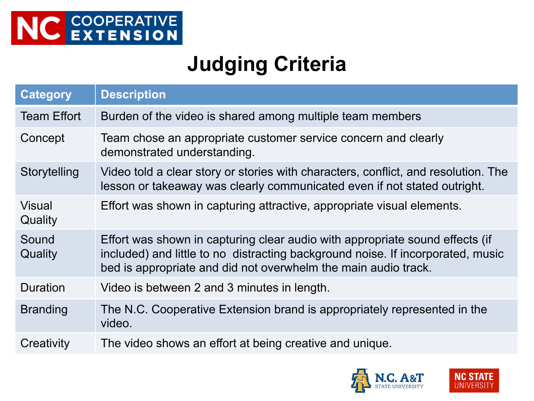#### **Judging Criteria**

| <b>Category</b>          | <b>Description</b>                                                                                                                                                                                                                |
|--------------------------|-----------------------------------------------------------------------------------------------------------------------------------------------------------------------------------------------------------------------------------|
| <b>Team Effort</b>       | Burden of the video is shared among multiple team members                                                                                                                                                                         |
| Concept                  | Team chose an appropriate customer service concern and clearly<br>demonstrated understanding.                                                                                                                                     |
| Storytelling             | Video told a clear story or stories with characters, conflict, and resolution. The<br>lesson or takeaway was clearly communicated even if not stated outright.                                                                    |
| <b>Visual</b><br>Quality | Effort was shown in capturing attractive, appropriate visual elements.                                                                                                                                                            |
| Sound<br>Quality         | Effort was shown in capturing clear audio with appropriate sound effects (if<br>included) and little to no distracting background noise. If incorporated, music<br>bed is appropriate and did not overwhelm the main audio track. |
| Duration                 | Video is between 2 and 3 minutes in length.                                                                                                                                                                                       |
| <b>Branding</b>          | The N.C. Cooperative Extension brand is appropriately represented in the<br>video.                                                                                                                                                |
| Creativity               | The video shows an effort at being creative and unique.                                                                                                                                                                           |



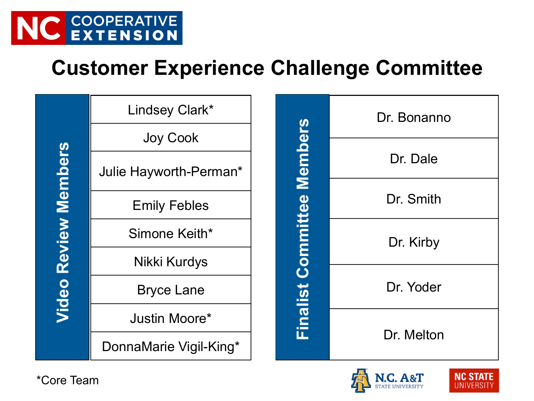

#### **Customer Experience Challenge Committee**

| Ç<br>i   |
|----------|
|          |
|          |
|          |
| T        |
| I<br>计算机 |
| ۵<br>l   |
|          |
|          |
|          |
|          |
| J<br>I   |
|          |

| Lindsey Clark*         | <b>Committee Members</b> | Dr. Bonanno |            |
|------------------------|--------------------------|-------------|------------|
| <b>Joy Cook</b>        |                          |             |            |
| Julie Hayworth-Perman* |                          | Dr. Dale    |            |
| <b>Emily Febles</b>    |                          | Dr. Smith   |            |
| Simone Keith*          |                          | Dr. Kirby   |            |
| Nikki Kurdys           |                          |             |            |
| <b>Bryce Lane</b>      | Finalist                 | Dr. Yoder   |            |
| Justin Moore*          |                          |             |            |
| DonnaMarie Vigil-King* |                          |             | Dr. Melton |





\*Core Team